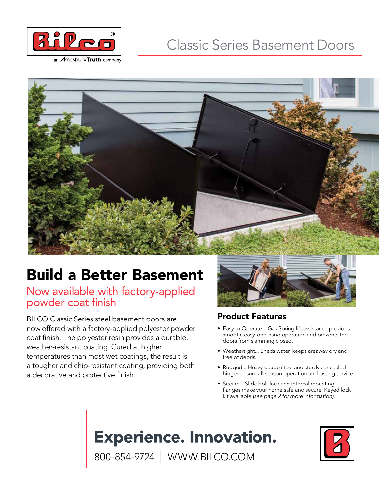

an *A*mesburyTruth company

### Classic Series Basement Doors

# Build a Better Basement

Now available with factory-applied powder coat finish

BILCO Classic Series steel basement doors are now offered with a factory-applied polyester powder coat finish. The polyester resin provides a durable, weather-resistant coating. Cured at higher temperatures than most wet coatings, the result is a tougher and chip-resistant coating, providing both a decorative and protective finish.



### Product Features

- Easy to Operate... Gas Spring lift assistance provides smooth, easy, one-hand operation and prevents the doors from slamming closed.
- Weathertight... Sheds water, keeps areaway dry and free of debris.
- Rugged... Heavy gauge steel and sturdy concealed hinges ensure all-season operation and lasting service.
- Secure... Slide bolt lock and internal mounting flanges make your home safe and secure. Keyed lock kit available *(see page 2 for more information).*

## **Experience. Innovation.**



800-854-9724 | WWW.BILCO.COM